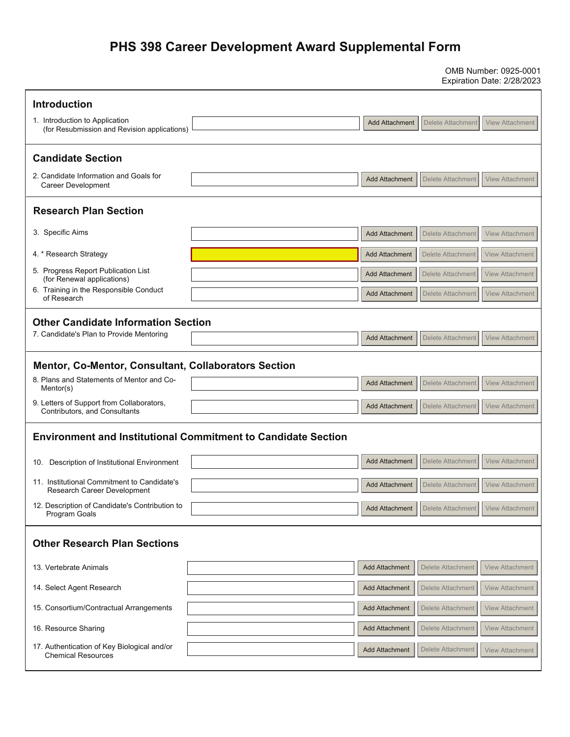## **PHS 398 Career Development Award Supplemental Form**

OMB Number: 0925-0001 Expiration Date: 2/28/2023

| <b>Introduction</b>                                                            |  |                       |                                                      |                        |  |
|--------------------------------------------------------------------------------|--|-----------------------|------------------------------------------------------|------------------------|--|
| 1. Introduction to Application<br>(for Resubmission and Revision applications) |  | <b>Add Attachment</b> | Delete Attachment                                    | <b>View Attachment</b> |  |
| <b>Candidate Section</b>                                                       |  |                       |                                                      |                        |  |
| 2. Candidate Information and Goals for<br><b>Career Development</b>            |  | <b>Add Attachment</b> | <b>Delete Attachment</b>                             | <b>View Attachment</b> |  |
| <b>Research Plan Section</b>                                                   |  |                       |                                                      |                        |  |
| 3. Specific Aims                                                               |  | <b>Add Attachment</b> | <b>Delete Attachment</b>                             | <b>View Attachment</b> |  |
| 4. * Research Strategy                                                         |  | <b>Add Attachment</b> | Delete Attachment                                    | <b>View Attachment</b> |  |
| 5. Progress Report Publication List<br>(for Renewal applications)              |  | <b>Add Attachment</b> | Delete Attachment                                    | <b>View Attachment</b> |  |
| 6. Training in the Responsible Conduct<br>of Research                          |  | <b>Add Attachment</b> | <b>Delete Attachment</b>                             | <b>View Attachment</b> |  |
| <b>Other Candidate Information Section</b>                                     |  |                       |                                                      |                        |  |
| 7. Candidate's Plan to Provide Mentoring                                       |  | <b>Add Attachment</b> | <b>Delete Attachment</b>                             | <b>View Attachment</b> |  |
| <b>Mentor, Co-Mentor, Consultant, Collaborators Section</b>                    |  |                       |                                                      |                        |  |
| 8. Plans and Statements of Mentor and Co-<br>Mentor(s)                         |  | <b>Add Attachment</b> | <b>Delete Attachment</b>                             | <b>View Attachment</b> |  |
| 9. Letters of Support from Collaborators,<br>Contributors, and Consultants     |  | <b>Add Attachment</b> | <b>Delete Attachment</b>                             | <b>View Attachment</b> |  |
| <b>Environment and Institutional Commitment to Candidate Section</b>           |  |                       |                                                      |                        |  |
| Description of Institutional Environment<br>10.                                |  | <b>Add Attachment</b> | <b>Delete Attachment</b>                             | <b>View Attachment</b> |  |
| 11. Institutional Commitment to Candidate's<br>Research Career Development     |  | <b>Add Attachment</b> | Delete Attachment                                    | <b>View Attachment</b> |  |
| 12. Description of Candidate's Contribution to<br>Program Goals                |  |                       | Add Attachment   Delete Attachment   View Attachment |                        |  |
| <b>Other Research Plan Sections</b>                                            |  |                       |                                                      |                        |  |
| 13. Vertebrate Animals                                                         |  | <b>Add Attachment</b> | Delete Attachment                                    | <b>View Attachment</b> |  |
| 14. Select Agent Research                                                      |  | <b>Add Attachment</b> | Delete Attachment                                    | <b>View Attachment</b> |  |
| 15. Consortium/Contractual Arrangements                                        |  | <b>Add Attachment</b> | Delete Attachment                                    | <b>View Attachment</b> |  |
| 16. Resource Sharing                                                           |  | <b>Add Attachment</b> | Delete Attachment                                    | <b>View Attachment</b> |  |
| 17. Authentication of Key Biological and/or<br><b>Chemical Resources</b>       |  | <b>Add Attachment</b> | Delete Attachment                                    | <b>View Attachment</b> |  |